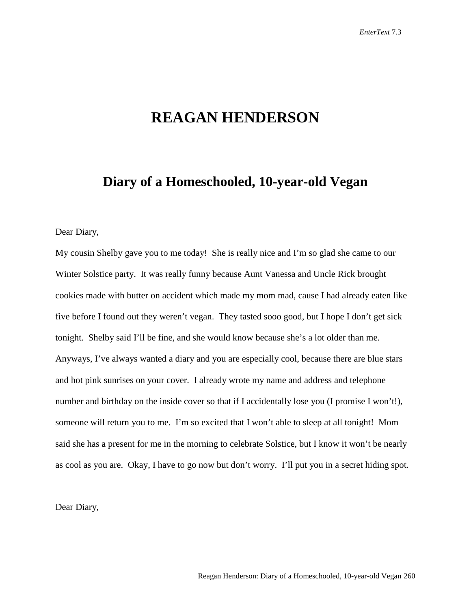# **REAGAN HENDERSON**

## **Diary of a Homeschooled, 10-year-old Vegan**

Dear Diary,

My cousin Shelby gave you to me today! She is really nice and I'm so glad she came to our Winter Solstice party. It was really funny because Aunt Vanessa and Uncle Rick brought cookies made with butter on accident which made my mom mad, cause I had already eaten like five before I found out they weren't vegan. They tasted sooo good, but I hope I don't get sick tonight. Shelby said I'll be fine, and she would know because she's a lot older than me. Anyways, I've always wanted a diary and you are especially cool, because there are blue stars and hot pink sunrises on your cover. I already wrote my name and address and telephone number and birthday on the inside cover so that if I accidentally lose you (I promise I won't!), someone will return you to me. I'm so excited that I won't able to sleep at all tonight! Mom said she has a present for me in the morning to celebrate Solstice, but I know it won't be nearly as cool as you are. Okay, I have to go now but don't worry. I'll put you in a secret hiding spot.

Dear Diary,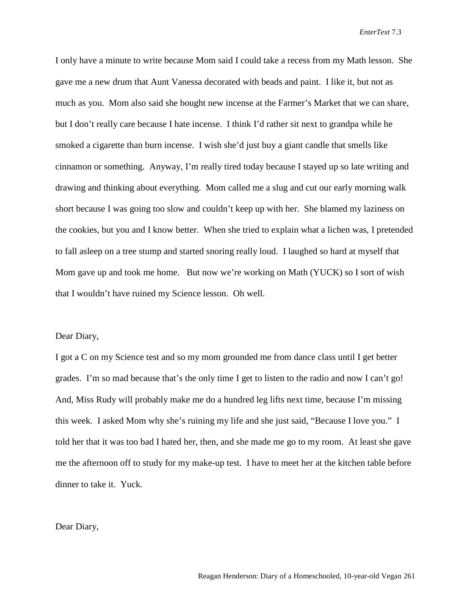I only have a minute to write because Mom said I could take a recess from my Math lesson. She gave me a new drum that Aunt Vanessa decorated with beads and paint. I like it, but not as much as you. Mom also said she bought new incense at the Farmer's Market that we can share, but I don't really care because I hate incense. I think I'd rather sit next to grandpa while he smoked a cigarette than burn incense. I wish she'd just buy a giant candle that smells like cinnamon or something. Anyway, I'm really tired today because I stayed up so late writing and drawing and thinking about everything. Mom called me a slug and cut our early morning walk short because I was going too slow and couldn't keep up with her. She blamed my laziness on the cookies, but you and I know better. When she tried to explain what a lichen was, I pretended to fall asleep on a tree stump and started snoring really loud. I laughed so hard at myself that Mom gave up and took me home. But now we're working on Math (YUCK) so I sort of wish that I wouldn't have ruined my Science lesson. Oh well.

#### Dear Diary,

I got a C on my Science test and so my mom grounded me from dance class until I get better grades. I'm so mad because that's the only time I get to listen to the radio and now I can't go! And, Miss Rudy will probably make me do a hundred leg lifts next time, because I'm missing this week. I asked Mom why she's ruining my life and she just said, "Because I love you." I told her that it was too bad I hated her, then, and she made me go to my room. At least she gave me the afternoon off to study for my make-up test. I have to meet her at the kitchen table before dinner to take it. Yuck.

Dear Diary,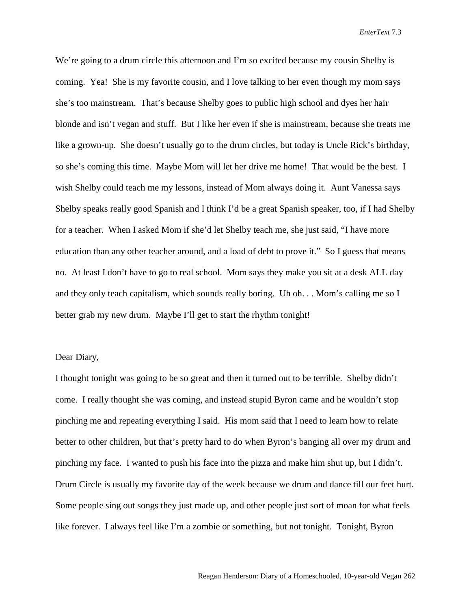We're going to a drum circle this afternoon and I'm so excited because my cousin Shelby is coming. Yea! She is my favorite cousin, and I love talking to her even though my mom says she's too mainstream. That's because Shelby goes to public high school and dyes her hair blonde and isn't vegan and stuff. But I like her even if she is mainstream, because she treats me like a grown-up. She doesn't usually go to the drum circles, but today is Uncle Rick's birthday, so she's coming this time. Maybe Mom will let her drive me home! That would be the best. I wish Shelby could teach me my lessons, instead of Mom always doing it. Aunt Vanessa says Shelby speaks really good Spanish and I think I'd be a great Spanish speaker, too, if I had Shelby for a teacher. When I asked Mom if she'd let Shelby teach me, she just said, "I have more education than any other teacher around, and a load of debt to prove it." So I guess that means no. At least I don't have to go to real school. Mom says they make you sit at a desk ALL day and they only teach capitalism, which sounds really boring. Uh oh. . . Mom's calling me so I better grab my new drum. Maybe I'll get to start the rhythm tonight!

## Dear Diary,

I thought tonight was going to be so great and then it turned out to be terrible. Shelby didn't come. I really thought she was coming, and instead stupid Byron came and he wouldn't stop pinching me and repeating everything I said. His mom said that I need to learn how to relate better to other children, but that's pretty hard to do when Byron's banging all over my drum and pinching my face. I wanted to push his face into the pizza and make him shut up, but I didn't. Drum Circle is usually my favorite day of the week because we drum and dance till our feet hurt. Some people sing out songs they just made up, and other people just sort of moan for what feels like forever. I always feel like I'm a zombie or something, but not tonight. Tonight, Byron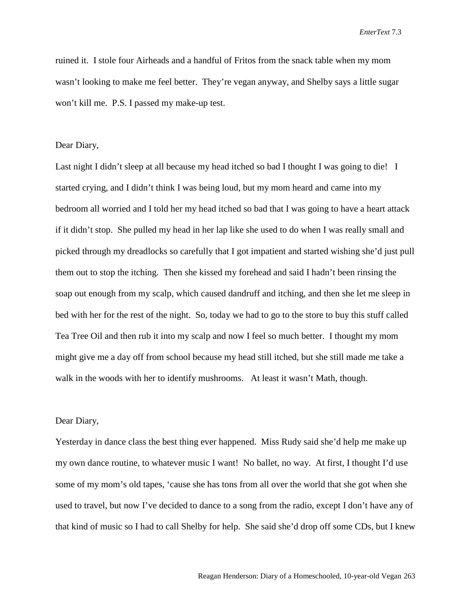ruined it. I stole four Airheads and a handful of Fritos from the snack table when my mom wasn't looking to make me feel better. They're vegan anyway, and Shelby says a little sugar won't kill me. P.S. I passed my make-up test.

## Dear Diary,

Last night I didn't sleep at all because my head itched so bad I thought I was going to die! I started crying, and I didn't think I was being loud, but my mom heard and came into my bedroom all worried and I told her my head itched so bad that I was going to have a heart attack if it didn't stop. She pulled my head in her lap like she used to do when I was really small and picked through my dreadlocks so carefully that I got impatient and started wishing she'd just pull them out to stop the itching. Then she kissed my forehead and said I hadn't been rinsing the soap out enough from my scalp, which caused dandruff and itching, and then she let me sleep in bed with her for the rest of the night. So, today we had to go to the store to buy this stuff called Tea Tree Oil and then rub it into my scalp and now I feel so much better. I thought my mom might give me a day off from school because my head still itched, but she still made me take a walk in the woods with her to identify mushrooms. At least it wasn't Math, though.

### Dear Diary,

Yesterday in dance class the best thing ever happened. Miss Rudy said she'd help me make up my own dance routine, to whatever music I want! No ballet, no way. At first, I thought I'd use some of my mom's old tapes, 'cause she has tons from all over the world that she got when she used to travel, but now I've decided to dance to a song from the radio, except I don't have any of that kind of music so I had to call Shelby for help. She said she'd drop off some CDs, but I knew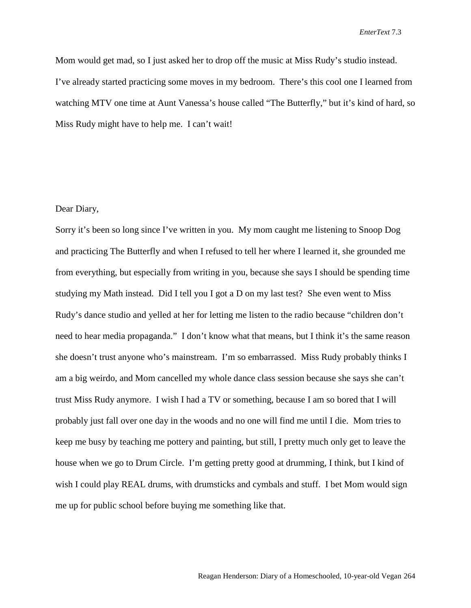Mom would get mad, so I just asked her to drop off the music at Miss Rudy's studio instead. I've already started practicing some moves in my bedroom. There's this cool one I learned from watching MTV one time at Aunt Vanessa's house called "The Butterfly," but it's kind of hard, so Miss Rudy might have to help me. I can't wait!

## Dear Diary,

Sorry it's been so long since I've written in you. My mom caught me listening to Snoop Dog and practicing The Butterfly and when I refused to tell her where I learned it, she grounded me from everything, but especially from writing in you, because she says I should be spending time studying my Math instead. Did I tell you I got a D on my last test? She even went to Miss Rudy's dance studio and yelled at her for letting me listen to the radio because "children don't need to hear media propaganda." I don't know what that means, but I think it's the same reason she doesn't trust anyone who's mainstream. I'm so embarrassed. Miss Rudy probably thinks I am a big weirdo, and Mom cancelled my whole dance class session because she says she can't trust Miss Rudy anymore. I wish I had a TV or something, because I am so bored that I will probably just fall over one day in the woods and no one will find me until I die. Mom tries to keep me busy by teaching me pottery and painting, but still, I pretty much only get to leave the house when we go to Drum Circle. I'm getting pretty good at drumming, I think, but I kind of wish I could play REAL drums, with drumsticks and cymbals and stuff. I bet Mom would sign me up for public school before buying me something like that.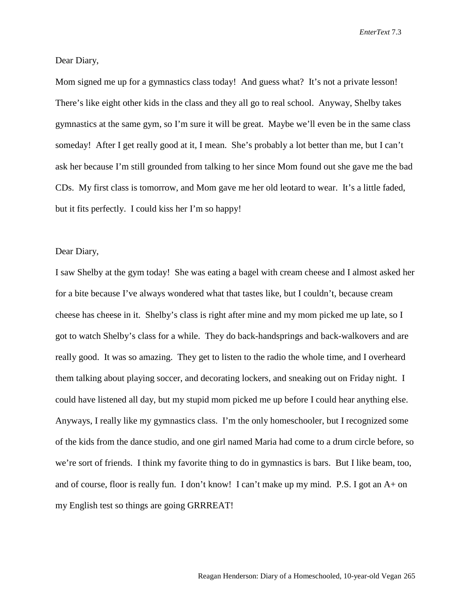Dear Diary,

Mom signed me up for a gymnastics class today! And guess what? It's not a private lesson! There's like eight other kids in the class and they all go to real school. Anyway, Shelby takes gymnastics at the same gym, so I'm sure it will be great. Maybe we'll even be in the same class someday! After I get really good at it, I mean. She's probably a lot better than me, but I can't ask her because I'm still grounded from talking to her since Mom found out she gave me the bad CDs. My first class is tomorrow, and Mom gave me her old leotard to wear. It's a little faded, but it fits perfectly. I could kiss her I'm so happy!

## Dear Diary,

I saw Shelby at the gym today! She was eating a bagel with cream cheese and I almost asked her for a bite because I've always wondered what that tastes like, but I couldn't, because cream cheese has cheese in it. Shelby's class is right after mine and my mom picked me up late, so I got to watch Shelby's class for a while. They do back-handsprings and back-walkovers and are really good. It was so amazing. They get to listen to the radio the whole time, and I overheard them talking about playing soccer, and decorating lockers, and sneaking out on Friday night. I could have listened all day, but my stupid mom picked me up before I could hear anything else. Anyways, I really like my gymnastics class. I'm the only homeschooler, but I recognized some of the kids from the dance studio, and one girl named Maria had come to a drum circle before, so we're sort of friends. I think my favorite thing to do in gymnastics is bars. But I like beam, too, and of course, floor is really fun. I don't know! I can't make up my mind. P.S. I got an A+ on my English test so things are going GRRREAT!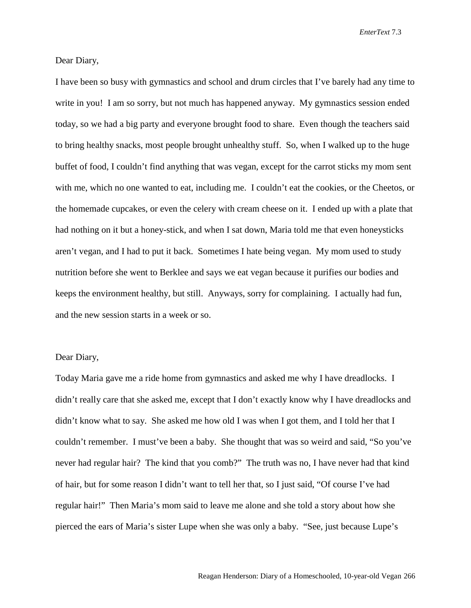Dear Diary,

I have been so busy with gymnastics and school and drum circles that I've barely had any time to write in you! I am so sorry, but not much has happened anyway. My gymnastics session ended today, so we had a big party and everyone brought food to share. Even though the teachers said to bring healthy snacks, most people brought unhealthy stuff. So, when I walked up to the huge buffet of food, I couldn't find anything that was vegan, except for the carrot sticks my mom sent with me, which no one wanted to eat, including me. I couldn't eat the cookies, or the Cheetos, or the homemade cupcakes, or even the celery with cream cheese on it. I ended up with a plate that had nothing on it but a honey-stick, and when I sat down, Maria told me that even honeysticks aren't vegan, and I had to put it back. Sometimes I hate being vegan. My mom used to study nutrition before she went to Berklee and says we eat vegan because it purifies our bodies and keeps the environment healthy, but still. Anyways, sorry for complaining. I actually had fun, and the new session starts in a week or so.

## Dear Diary,

Today Maria gave me a ride home from gymnastics and asked me why I have dreadlocks. I didn't really care that she asked me, except that I don't exactly know why I have dreadlocks and didn't know what to say. She asked me how old I was when I got them, and I told her that I couldn't remember. I must've been a baby. She thought that was so weird and said, "So you've never had regular hair? The kind that you comb?" The truth was no, I have never had that kind of hair, but for some reason I didn't want to tell her that, so I just said, "Of course I've had regular hair!" Then Maria's mom said to leave me alone and she told a story about how she pierced the ears of Maria's sister Lupe when she was only a baby. "See, just because Lupe's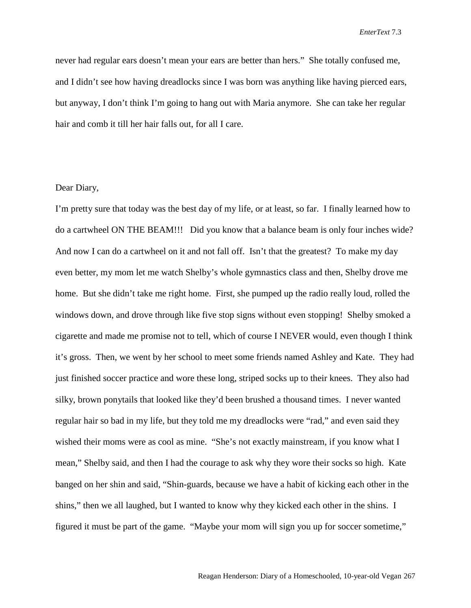never had regular ears doesn't mean your ears are better than hers." She totally confused me, and I didn't see how having dreadlocks since I was born was anything like having pierced ears, but anyway, I don't think I'm going to hang out with Maria anymore. She can take her regular hair and comb it till her hair falls out, for all I care.

## Dear Diary,

I'm pretty sure that today was the best day of my life, or at least, so far. I finally learned how to do a cartwheel ON THE BEAM!!! Did you know that a balance beam is only four inches wide? And now I can do a cartwheel on it and not fall off. Isn't that the greatest? To make my day even better, my mom let me watch Shelby's whole gymnastics class and then, Shelby drove me home. But she didn't take me right home. First, she pumped up the radio really loud, rolled the windows down, and drove through like five stop signs without even stopping! Shelby smoked a cigarette and made me promise not to tell, which of course I NEVER would, even though I think it's gross. Then, we went by her school to meet some friends named Ashley and Kate. They had just finished soccer practice and wore these long, striped socks up to their knees. They also had silky, brown ponytails that looked like they'd been brushed a thousand times. I never wanted regular hair so bad in my life, but they told me my dreadlocks were "rad," and even said they wished their moms were as cool as mine. "She's not exactly mainstream, if you know what I mean," Shelby said, and then I had the courage to ask why they wore their socks so high. Kate banged on her shin and said, "Shin-guards, because we have a habit of kicking each other in the shins," then we all laughed, but I wanted to know why they kicked each other in the shins. I figured it must be part of the game. "Maybe your mom will sign you up for soccer sometime,"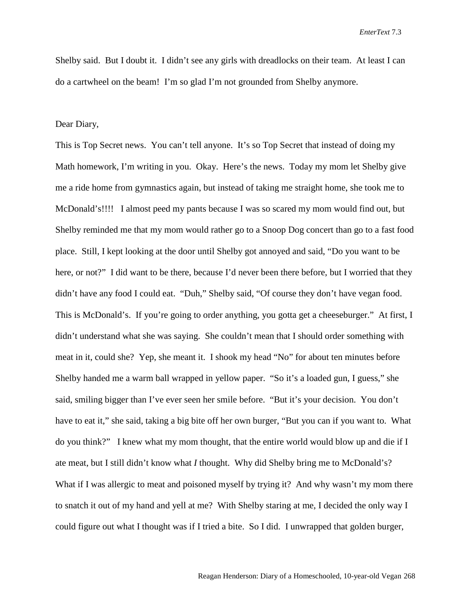Shelby said. But I doubt it. I didn't see any girls with dreadlocks on their team. At least I can do a cartwheel on the beam! I'm so glad I'm not grounded from Shelby anymore.

### Dear Diary,

This is Top Secret news. You can't tell anyone. It's so Top Secret that instead of doing my Math homework, I'm writing in you. Okay. Here's the news. Today my mom let Shelby give me a ride home from gymnastics again, but instead of taking me straight home, she took me to McDonald's!!!! I almost peed my pants because I was so scared my mom would find out, but Shelby reminded me that my mom would rather go to a Snoop Dog concert than go to a fast food place. Still, I kept looking at the door until Shelby got annoyed and said, "Do you want to be here, or not?" I did want to be there, because I'd never been there before, but I worried that they didn't have any food I could eat. "Duh," Shelby said, "Of course they don't have vegan food. This is McDonald's. If you're going to order anything, you gotta get a cheeseburger." At first, I didn't understand what she was saying. She couldn't mean that I should order something with meat in it, could she? Yep, she meant it. I shook my head "No" for about ten minutes before Shelby handed me a warm ball wrapped in yellow paper. "So it's a loaded gun, I guess," she said, smiling bigger than I've ever seen her smile before. "But it's your decision. You don't have to eat it," she said, taking a big bite off her own burger, "But you can if you want to. What do you think?" I knew what my mom thought, that the entire world would blow up and die if I ate meat, but I still didn't know what *I* thought. Why did Shelby bring me to McDonald's? What if I was allergic to meat and poisoned myself by trying it? And why wasn't my mom there to snatch it out of my hand and yell at me? With Shelby staring at me, I decided the only way I could figure out what I thought was if I tried a bite. So I did. I unwrapped that golden burger,